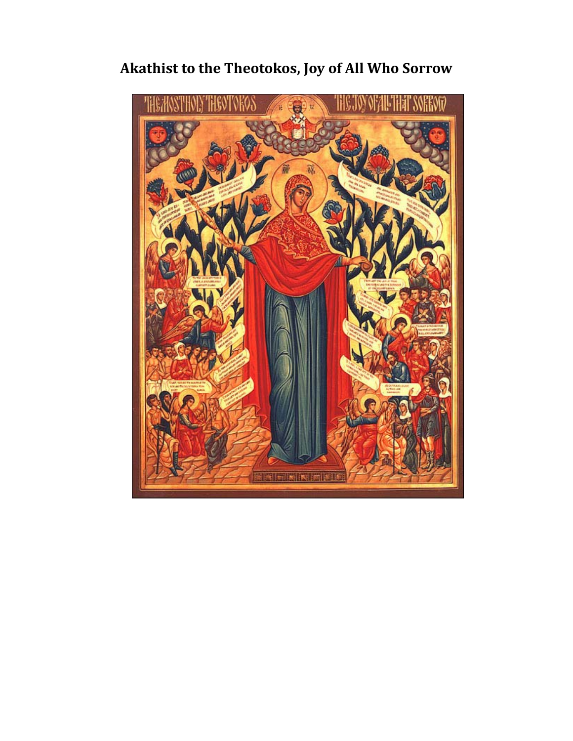

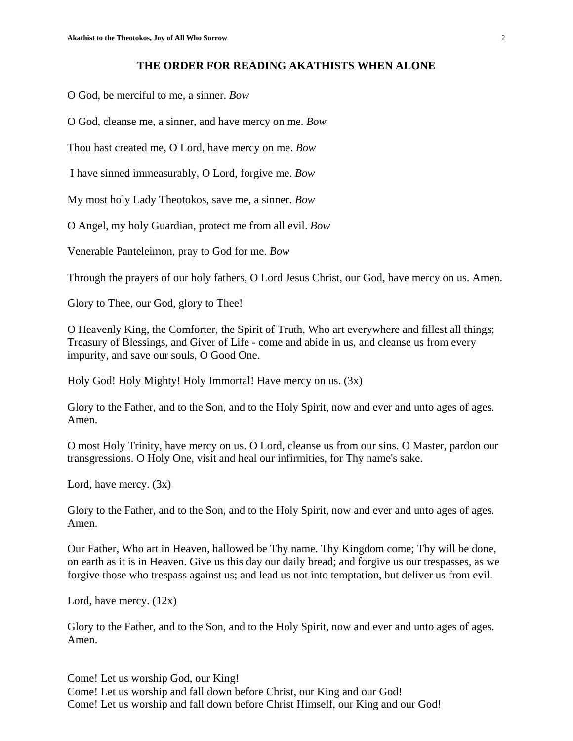### **THE ORDER FOR READING AKATHISTS WHEN ALONE**

O God, be merciful to me, a sinner. *Bow*

O God, cleanse me, a sinner, and have mercy on me. *Bow*

Thou hast created me, O Lord, have mercy on me. *Bow*

I have sinned immeasurably, O Lord, forgive me. *Bow*

My most holy Lady Theotokos, save me, a sinner. *Bow*

O Angel, my holy Guardian, protect me from all evil. *Bow*

Venerable Panteleimon, pray to God for me. *Bow*

Through the prayers of our holy fathers, O Lord Jesus Christ, our God, have mercy on us. Amen.

Glory to Thee, our God, glory to Thee!

O Heavenly King, the Comforter, the Spirit of Truth, Who art everywhere and fillest all things; Treasury of Blessings, and Giver of Life - come and abide in us, and cleanse us from every impurity, and save our souls, O Good One.

Holy God! Holy Mighty! Holy Immortal! Have mercy on us. (3x)

Glory to the Father, and to the Son, and to the Holy Spirit, now and ever and unto ages of ages. Amen.

O most Holy Trinity, have mercy on us. O Lord, cleanse us from our sins. O Master, pardon our transgressions. O Holy One, visit and heal our infirmities, for Thy name's sake.

Lord, have mercy.  $(3x)$ 

Glory to the Father, and to the Son, and to the Holy Spirit, now and ever and unto ages of ages. Amen.

Our Father, Who art in Heaven, hallowed be Thy name. Thy Kingdom come; Thy will be done, on earth as it is in Heaven. Give us this day our daily bread; and forgive us our trespasses, as we forgive those who trespass against us; and lead us not into temptation, but deliver us from evil.

Lord, have mercy.  $(12x)$ 

Glory to the Father, and to the Son, and to the Holy Spirit, now and ever and unto ages of ages. Amen.

Come! Let us worship God, our King! Come! Let us worship and fall down before Christ, our King and our God! Come! Let us worship and fall down before Christ Himself, our King and our God!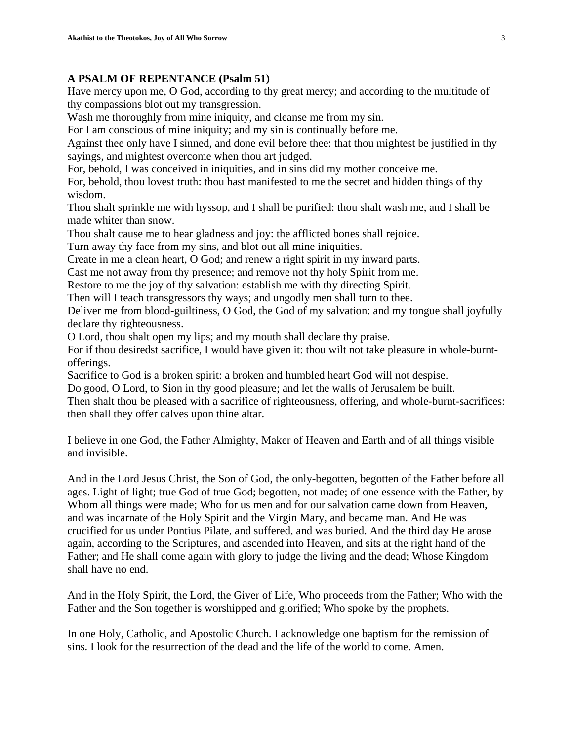## **A PSALM OF REPENTANCE (Psalm 51)**

Have mercy upon me, O God, according to thy great mercy; and according to the multitude of thy compassions blot out my transgression.

Wash me thoroughly from mine iniquity, and cleanse me from my sin.

For I am conscious of mine iniquity; and my sin is continually before me.

Against thee only have I sinned, and done evil before thee: that thou mightest be justified in thy sayings, and mightest overcome when thou art judged.

For, behold, I was conceived in iniquities, and in sins did my mother conceive me.

For, behold, thou lovest truth: thou hast manifested to me the secret and hidden things of thy wisdom.

Thou shalt sprinkle me with hyssop, and I shall be purified: thou shalt wash me, and I shall be made whiter than snow.

Thou shalt cause me to hear gladness and joy: the afflicted bones shall rejoice.

Turn away thy face from my sins, and blot out all mine iniquities.

Create in me a clean heart, O God; and renew a right spirit in my inward parts.

Cast me not away from thy presence; and remove not thy holy Spirit from me.

Restore to me the joy of thy salvation: establish me with thy directing Spirit.

Then will I teach transgressors thy ways; and ungodly men shall turn to thee.

Deliver me from blood-guiltiness, O God, the God of my salvation: and my tongue shall joyfully declare thy righteousness.

O Lord, thou shalt open my lips; and my mouth shall declare thy praise.

For if thou desiredst sacrifice, I would have given it: thou wilt not take pleasure in whole-burntofferings.

Sacrifice to God is a broken spirit: a broken and humbled heart God will not despise.

Do good, O Lord, to Sion in thy good pleasure; and let the walls of Jerusalem be built.

Then shalt thou be pleased with a sacrifice of righteousness, offering, and whole-burnt-sacrifices: then shall they offer calves upon thine altar.

I believe in one God, the Father Almighty, Maker of Heaven and Earth and of all things visible and invisible.

And in the Lord Jesus Christ, the Son of God, the only-begotten, begotten of the Father before all ages. Light of light; true God of true God; begotten, not made; of one essence with the Father, by Whom all things were made; Who for us men and for our salvation came down from Heaven, and was incarnate of the Holy Spirit and the Virgin Mary, and became man. And He was crucified for us under Pontius Pilate, and suffered, and was buried. And the third day He arose again, according to the Scriptures, and ascended into Heaven, and sits at the right hand of the Father; and He shall come again with glory to judge the living and the dead; Whose Kingdom shall have no end.

And in the Holy Spirit, the Lord, the Giver of Life, Who proceeds from the Father; Who with the Father and the Son together is worshipped and glorified; Who spoke by the prophets.

In one Holy, Catholic, and Apostolic Church. I acknowledge one baptism for the remission of sins. I look for the resurrection of the dead and the life of the world to come. Amen.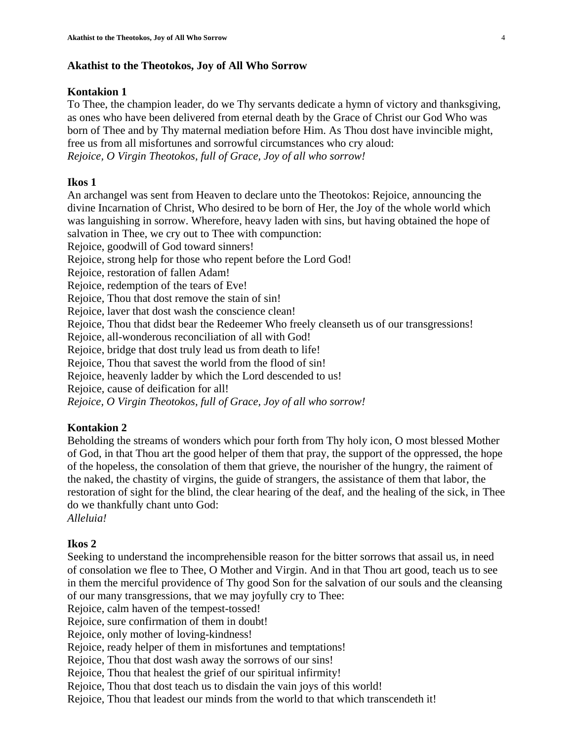#### **Akathist to the Theotokos, Joy of All Who Sorrow**

## **Kontakion 1**

To Thee, the champion leader, do we Thy servants dedicate a hymn of victory and thanksgiving, as ones who have been delivered from eternal death by the Grace of Christ our God Who was born of Thee and by Thy maternal mediation before Him. As Thou dost have invincible might, free us from all misfortunes and sorrowful circumstances who cry aloud: *Rejoice, O Virgin Theotokos, full of Grace, Joy of all who sorrow!*

## **Ikos 1**

An archangel was sent from Heaven to declare unto the Theotokos: Rejoice, announcing the divine Incarnation of Christ, Who desired to be born of Her, the Joy of the whole world which was languishing in sorrow. Wherefore, heavy laden with sins, but having obtained the hope of salvation in Thee, we cry out to Thee with compunction: Rejoice, goodwill of God toward sinners! Rejoice, strong help for those who repent before the Lord God! Rejoice, restoration of fallen Adam! Rejoice, redemption of the tears of Eve! Rejoice, Thou that dost remove the stain of sin! Rejoice, laver that dost wash the conscience clean! Rejoice, Thou that didst bear the Redeemer Who freely cleanseth us of our transgressions! Rejoice, all-wonderous reconciliation of all with God! Rejoice, bridge that dost truly lead us from death to life! Rejoice, Thou that savest the world from the flood of sin! Rejoice, heavenly ladder by which the Lord descended to us! Rejoice, cause of deification for all! *Rejoice, O Virgin Theotokos, full of Grace, Joy of all who sorrow!*

#### **Kontakion 2**

Beholding the streams of wonders which pour forth from Thy holy icon, O most blessed Mother of God, in that Thou art the good helper of them that pray, the support of the oppressed, the hope of the hopeless, the consolation of them that grieve, the nourisher of the hungry, the raiment of the naked, the chastity of virgins, the guide of strangers, the assistance of them that labor, the restoration of sight for the blind, the clear hearing of the deaf, and the healing of the sick, in Thee do we thankfully chant unto God:

*Alleluia!*

#### **Ikos 2**

Seeking to understand the incomprehensible reason for the bitter sorrows that assail us, in need of consolation we flee to Thee, O Mother and Virgin. And in that Thou art good, teach us to see in them the merciful providence of Thy good Son for the salvation of our souls and the cleansing of our many transgressions, that we may joyfully cry to Thee:

Rejoice, calm haven of the tempest-tossed!

Rejoice, sure confirmation of them in doubt!

Rejoice, only mother of loving-kindness!

Rejoice, ready helper of them in misfortunes and temptations!

Rejoice, Thou that dost wash away the sorrows of our sins!

Rejoice, Thou that healest the grief of our spiritual infirmity!

Rejoice, Thou that dost teach us to disdain the vain joys of this world!

Rejoice, Thou that leadest our minds from the world to that which transcendeth it!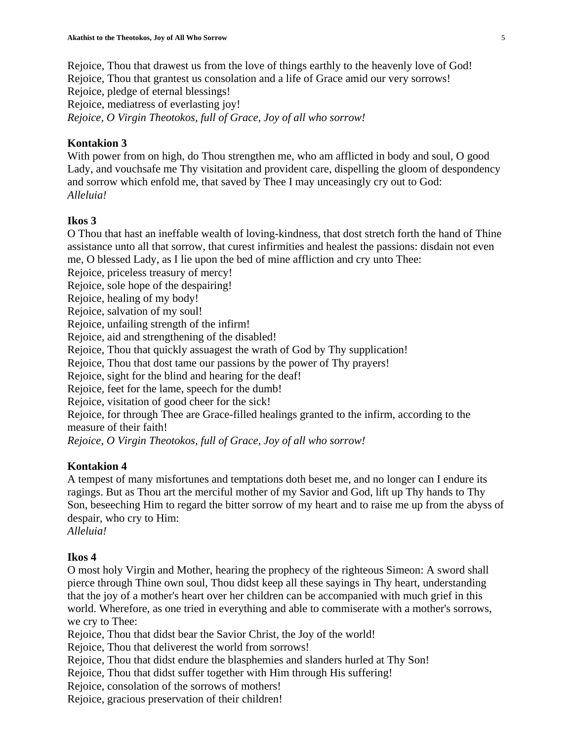Rejoice, Thou that drawest us from the love of things earthly to the heavenly love of God! Rejoice, Thou that grantest us consolation and a life of Grace amid our very sorrows! Rejoice, pledge of eternal blessings!

Rejoice, mediatress of everlasting joy!

*Rejoice, O Virgin Theotokos, full of Grace, Joy of all who sorrow!*

## **Kontakion 3**

With power from on high, do Thou strengthen me, who am afflicted in body and soul, O good Lady, and vouchsafe me Thy visitation and provident care, dispelling the gloom of despondency and sorrow which enfold me, that saved by Thee I may unceasingly cry out to God: *Alleluia!*

## **Ikos 3**

O Thou that hast an ineffable wealth of loving-kindness, that dost stretch forth the hand of Thine assistance unto all that sorrow, that curest infirmities and healest the passions: disdain not even me, O blessed Lady, as I lie upon the bed of mine affliction and cry unto Thee:

Rejoice, priceless treasury of mercy!

Rejoice, sole hope of the despairing!

Rejoice, healing of my body!

Rejoice, salvation of my soul!

Rejoice, unfailing strength of the infirm!

Rejoice, aid and strengthening of the disabled!

Rejoice, Thou that quickly assuagest the wrath of God by Thy supplication!

Rejoice, Thou that dost tame our passions by the power of Thy prayers!

Rejoice, sight for the blind and hearing for the deaf!

Rejoice, feet for the lame, speech for the dumb!

Rejoice, visitation of good cheer for the sick!

Rejoice, for through Thee are Grace-filled healings granted to the infirm, according to the measure of their faith!

*Rejoice, O Virgin Theotokos, full of Grace, Joy of all who sorrow!*

# **Kontakion 4**

A tempest of many misfortunes and temptations doth beset me, and no longer can I endure its ragings. But as Thou art the merciful mother of my Savior and God, lift up Thy hands to Thy Son, beseeching Him to regard the bitter sorrow of my heart and to raise me up from the abyss of despair, who cry to Him:

*Alleluia!*

## **Ikos 4**

O most holy Virgin and Mother, hearing the prophecy of the righteous Simeon: A sword shall pierce through Thine own soul, Thou didst keep all these sayings in Thy heart, understanding that the joy of a mother's heart over her children can be accompanied with much grief in this world. Wherefore, as one tried in everything and able to commiserate with a mother's sorrows, we cry to Thee:

Rejoice, Thou that didst bear the Savior Christ, the Joy of the world!

Rejoice, Thou that deliverest the world from sorrows!

Rejoice, Thou that didst endure the blasphemies and slanders hurled at Thy Son!

Rejoice, Thou that didst suffer together with Him through His suffering!

Rejoice, consolation of the sorrows of mothers!

Rejoice, gracious preservation of their children!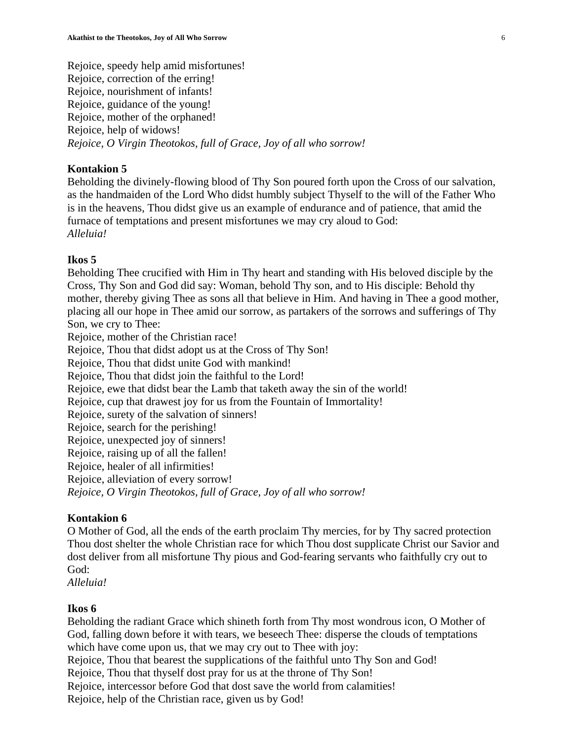Rejoice, speedy help amid misfortunes! Rejoice, correction of the erring! Rejoice, nourishment of infants! Rejoice, guidance of the young! Rejoice, mother of the orphaned! Rejoice, help of widows! *Rejoice, O Virgin Theotokos, full of Grace, Joy of all who sorrow!*

## **Kontakion 5**

Beholding the divinely-flowing blood of Thy Son poured forth upon the Cross of our salvation, as the handmaiden of the Lord Who didst humbly subject Thyself to the will of the Father Who is in the heavens, Thou didst give us an example of endurance and of patience, that amid the furnace of temptations and present misfortunes we may cry aloud to God: *Alleluia!*

#### **Ikos 5**

Beholding Thee crucified with Him in Thy heart and standing with His beloved disciple by the Cross, Thy Son and God did say: Woman, behold Thy son, and to His disciple: Behold thy mother, thereby giving Thee as sons all that believe in Him. And having in Thee a good mother, placing all our hope in Thee amid our sorrow, as partakers of the sorrows and sufferings of Thy Son, we cry to Thee:

Rejoice, mother of the Christian race! Rejoice, Thou that didst adopt us at the Cross of Thy Son! Rejoice, Thou that didst unite God with mankind! Rejoice, Thou that didst join the faithful to the Lord! Rejoice, ewe that didst bear the Lamb that taketh away the sin of the world! Rejoice, cup that drawest joy for us from the Fountain of Immortality! Rejoice, surety of the salvation of sinners! Rejoice, search for the perishing! Rejoice, unexpected joy of sinners! Rejoice, raising up of all the fallen! Rejoice, healer of all infirmities! Rejoice, alleviation of every sorrow! *Rejoice, O Virgin Theotokos, full of Grace, Joy of all who sorrow!*

#### **Kontakion 6**

O Mother of God, all the ends of the earth proclaim Thy mercies, for by Thy sacred protection Thou dost shelter the whole Christian race for which Thou dost supplicate Christ our Savior and dost deliver from all misfortune Thy pious and God-fearing servants who faithfully cry out to God:

*Alleluia!*

### **Ikos 6**

Beholding the radiant Grace which shineth forth from Thy most wondrous icon, O Mother of God, falling down before it with tears, we beseech Thee: disperse the clouds of temptations which have come upon us, that we may cry out to Thee with joy: Rejoice, Thou that bearest the supplications of the faithful unto Thy Son and God! Rejoice, Thou that thyself dost pray for us at the throne of Thy Son! Rejoice, intercessor before God that dost save the world from calamities! Rejoice, help of the Christian race, given us by God!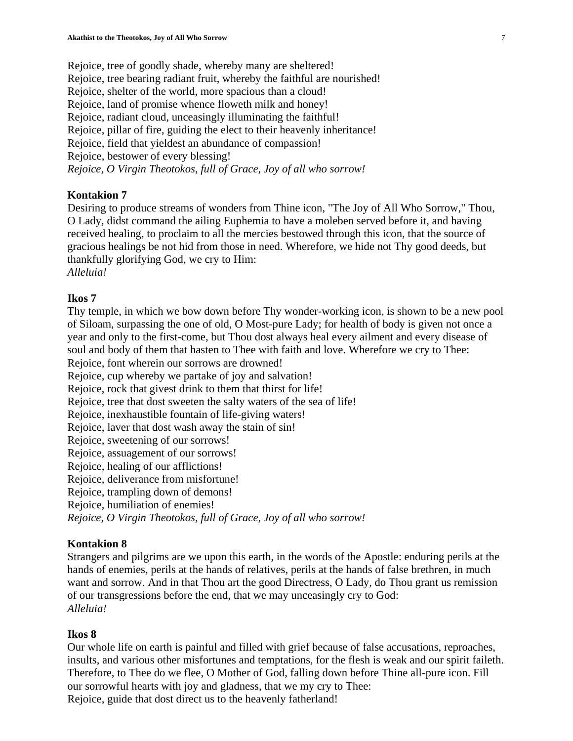Rejoice, tree of goodly shade, whereby many are sheltered! Rejoice, tree bearing radiant fruit, whereby the faithful are nourished! Rejoice, shelter of the world, more spacious than a cloud! Rejoice, land of promise whence floweth milk and honey! Rejoice, radiant cloud, unceasingly illuminating the faithful! Rejoice, pillar of fire, guiding the elect to their heavenly inheritance! Rejoice, field that yieldest an abundance of compassion! Rejoice, bestower of every blessing! *Rejoice, O Virgin Theotokos, full of Grace, Joy of all who sorrow!*

## **Kontakion 7**

Desiring to produce streams of wonders from Thine icon, "The Joy of All Who Sorrow," Thou, O Lady, didst command the ailing Euphemia to have a moleben served before it, and having received healing, to proclaim to all the mercies bestowed through this icon, that the source of gracious healings be not hid from those in need. Wherefore, we hide not Thy good deeds, but thankfully glorifying God, we cry to Him: *Alleluia!*

### **Ikos 7**

Thy temple, in which we bow down before Thy wonder-working icon, is shown to be a new pool of Siloam, surpassing the one of old, O Most-pure Lady; for health of body is given not once a year and only to the first-come, but Thou dost always heal every ailment and every disease of soul and body of them that hasten to Thee with faith and love. Wherefore we cry to Thee: Rejoice, font wherein our sorrows are drowned! Rejoice, cup whereby we partake of joy and salvation! Rejoice, rock that givest drink to them that thirst for life! Rejoice, tree that dost sweeten the salty waters of the sea of life! Rejoice, inexhaustible fountain of life-giving waters! Rejoice, laver that dost wash away the stain of sin! Rejoice, sweetening of our sorrows! Rejoice, assuagement of our sorrows! Rejoice, healing of our afflictions! Rejoice, deliverance from misfortune! Rejoice, trampling down of demons! Rejoice, humiliation of enemies! *Rejoice, O Virgin Theotokos, full of Grace, Joy of all who sorrow!*

## **Kontakion 8**

Strangers and pilgrims are we upon this earth, in the words of the Apostle: enduring perils at the hands of enemies, perils at the hands of relatives, perils at the hands of false brethren, in much want and sorrow. And in that Thou art the good Directress, O Lady, do Thou grant us remission of our transgressions before the end, that we may unceasingly cry to God: *Alleluia!*

#### **Ikos 8**

Our whole life on earth is painful and filled with grief because of false accusations, reproaches, insults, and various other misfortunes and temptations, for the flesh is weak and our spirit faileth. Therefore, to Thee do we flee, O Mother of God, falling down before Thine all-pure icon. Fill our sorrowful hearts with joy and gladness, that we my cry to Thee: Rejoice, guide that dost direct us to the heavenly fatherland!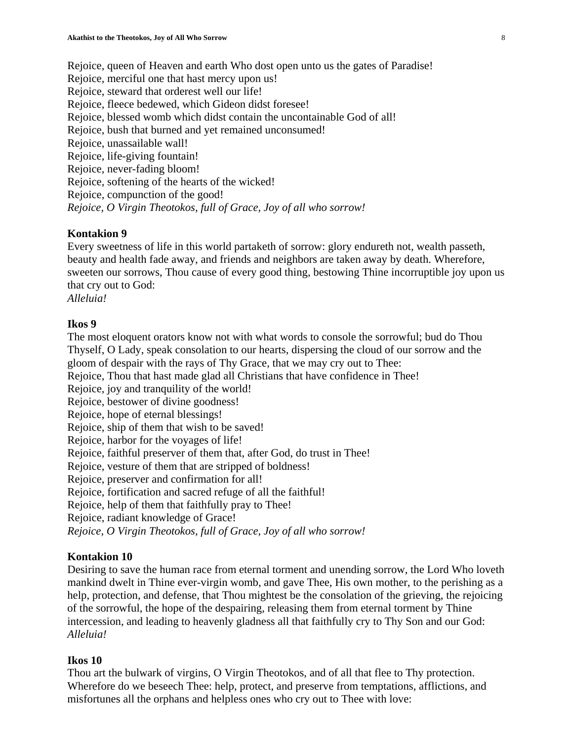Rejoice, queen of Heaven and earth Who dost open unto us the gates of Paradise! Rejoice, merciful one that hast mercy upon us! Rejoice, steward that orderest well our life! Rejoice, fleece bedewed, which Gideon didst foresee! Rejoice, blessed womb which didst contain the uncontainable God of all! Rejoice, bush that burned and yet remained unconsumed! Rejoice, unassailable wall! Rejoice, life-giving fountain! Rejoice, never-fading bloom! Rejoice, softening of the hearts of the wicked! Rejoice, compunction of the good! *Rejoice, O Virgin Theotokos, full of Grace, Joy of all who sorrow!*

### **Kontakion 9**

Every sweetness of life in this world partaketh of sorrow: glory endureth not, wealth passeth, beauty and health fade away, and friends and neighbors are taken away by death. Wherefore, sweeten our sorrows, Thou cause of every good thing, bestowing Thine incorruptible joy upon us that cry out to God:

*Alleluia!*

## **Ikos 9**

The most eloquent orators know not with what words to console the sorrowful; bud do Thou Thyself, O Lady, speak consolation to our hearts, dispersing the cloud of our sorrow and the gloom of despair with the rays of Thy Grace, that we may cry out to Thee: Rejoice, Thou that hast made glad all Christians that have confidence in Thee! Rejoice, joy and tranquility of the world! Rejoice, bestower of divine goodness! Rejoice, hope of eternal blessings! Rejoice, ship of them that wish to be saved! Rejoice, harbor for the voyages of life! Rejoice, faithful preserver of them that, after God, do trust in Thee! Rejoice, vesture of them that are stripped of boldness! Rejoice, preserver and confirmation for all! Rejoice, fortification and sacred refuge of all the faithful! Rejoice, help of them that faithfully pray to Thee! Rejoice, radiant knowledge of Grace! *Rejoice, O Virgin Theotokos, full of Grace, Joy of all who sorrow!*

# **Kontakion 10**

Desiring to save the human race from eternal torment and unending sorrow, the Lord Who loveth mankind dwelt in Thine ever-virgin womb, and gave Thee, His own mother, to the perishing as a help, protection, and defense, that Thou mightest be the consolation of the grieving, the rejoicing of the sorrowful, the hope of the despairing, releasing them from eternal torment by Thine intercession, and leading to heavenly gladness all that faithfully cry to Thy Son and our God: *Alleluia!*

#### **Ikos 10**

Thou art the bulwark of virgins, O Virgin Theotokos, and of all that flee to Thy protection. Wherefore do we beseech Thee: help, protect, and preserve from temptations, afflictions, and misfortunes all the orphans and helpless ones who cry out to Thee with love: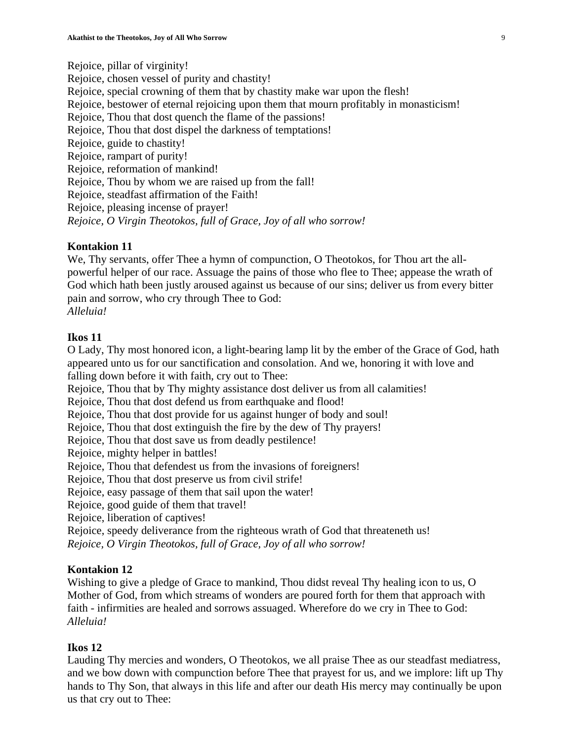Rejoice, pillar of virginity! Rejoice, chosen vessel of purity and chastity! Rejoice, special crowning of them that by chastity make war upon the flesh! Rejoice, bestower of eternal rejoicing upon them that mourn profitably in monasticism! Rejoice, Thou that dost quench the flame of the passions! Rejoice, Thou that dost dispel the darkness of temptations! Rejoice, guide to chastity! Rejoice, rampart of purity! Rejoice, reformation of mankind! Rejoice, Thou by whom we are raised up from the fall! Rejoice, steadfast affirmation of the Faith! Rejoice, pleasing incense of prayer! *Rejoice, O Virgin Theotokos, full of Grace, Joy of all who sorrow!*

# **Kontakion 11**

We, Thy servants, offer Thee a hymn of compunction, O Theotokos, for Thou art the allpowerful helper of our race. Assuage the pains of those who flee to Thee; appease the wrath of God which hath been justly aroused against us because of our sins; deliver us from every bitter pain and sorrow, who cry through Thee to God: *Alleluia!*

### **Ikos 11**

O Lady, Thy most honored icon, a light-bearing lamp lit by the ember of the Grace of God, hath appeared unto us for our sanctification and consolation. And we, honoring it with love and falling down before it with faith, cry out to Thee:

Rejoice, Thou that by Thy mighty assistance dost deliver us from all calamities!

Rejoice, Thou that dost defend us from earthquake and flood!

Rejoice, Thou that dost provide for us against hunger of body and soul!

Rejoice, Thou that dost extinguish the fire by the dew of Thy prayers!

Rejoice, Thou that dost save us from deadly pestilence!

Rejoice, mighty helper in battles!

Rejoice, Thou that defendest us from the invasions of foreigners!

Rejoice, Thou that dost preserve us from civil strife!

Rejoice, easy passage of them that sail upon the water!

Rejoice, good guide of them that travel!

Rejoice, liberation of captives!

Rejoice, speedy deliverance from the righteous wrath of God that threateneth us! *Rejoice, O Virgin Theotokos, full of Grace, Joy of all who sorrow!*

## **Kontakion 12**

Wishing to give a pledge of Grace to mankind, Thou didst reveal Thy healing icon to us, O Mother of God, from which streams of wonders are poured forth for them that approach with faith - infirmities are healed and sorrows assuaged. Wherefore do we cry in Thee to God: *Alleluia!*

## **Ikos 12**

Lauding Thy mercies and wonders, O Theotokos, we all praise Thee as our steadfast mediatress, and we bow down with compunction before Thee that prayest for us, and we implore: lift up Thy hands to Thy Son, that always in this life and after our death His mercy may continually be upon us that cry out to Thee: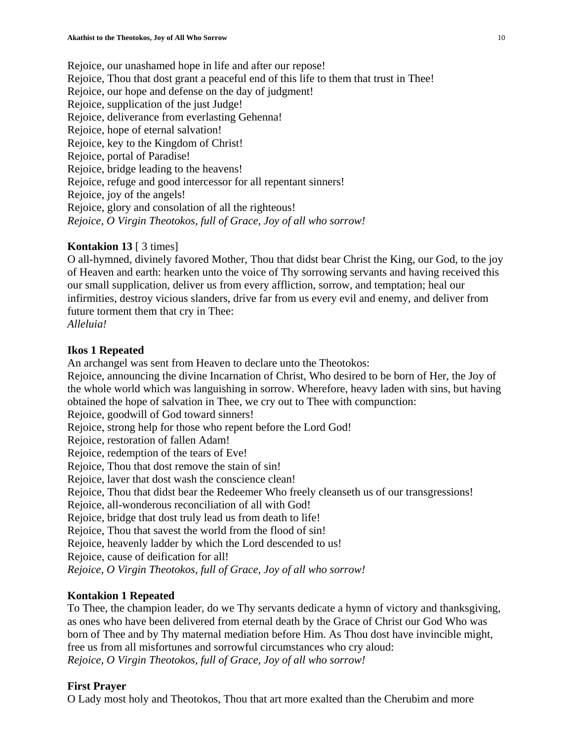Rejoice, our unashamed hope in life and after our repose! Rejoice, Thou that dost grant a peaceful end of this life to them that trust in Thee! Rejoice, our hope and defense on the day of judgment! Rejoice, supplication of the just Judge! Rejoice, deliverance from everlasting Gehenna! Rejoice, hope of eternal salvation! Rejoice, key to the Kingdom of Christ! Rejoice, portal of Paradise! Rejoice, bridge leading to the heavens! Rejoice, refuge and good intercessor for all repentant sinners! Rejoice, joy of the angels! Rejoice, glory and consolation of all the righteous! *Rejoice, O Virgin Theotokos, full of Grace, Joy of all who sorrow!*

## **Kontakion 13** [ 3 times]

O all-hymned, divinely favored Mother, Thou that didst bear Christ the King, our God, to the joy of Heaven and earth: hearken unto the voice of Thy sorrowing servants and having received this our small supplication, deliver us from every affliction, sorrow, and temptation; heal our infirmities, destroy vicious slanders, drive far from us every evil and enemy, and deliver from future torment them that cry in Thee: *Alleluia!*

## **Ikos 1 Repeated**

An archangel was sent from Heaven to declare unto the Theotokos: Rejoice, announcing the divine Incarnation of Christ, Who desired to be born of Her, the Joy of the whole world which was languishing in sorrow. Wherefore, heavy laden with sins, but having obtained the hope of salvation in Thee, we cry out to Thee with compunction: Rejoice, goodwill of God toward sinners! Rejoice, strong help for those who repent before the Lord God! Rejoice, restoration of fallen Adam! Rejoice, redemption of the tears of Eve! Rejoice, Thou that dost remove the stain of sin! Rejoice, laver that dost wash the conscience clean! Rejoice, Thou that didst bear the Redeemer Who freely cleanseth us of our transgressions! Rejoice, all-wonderous reconciliation of all with God! Rejoice, bridge that dost truly lead us from death to life! Rejoice, Thou that savest the world from the flood of sin! Rejoice, heavenly ladder by which the Lord descended to us! Rejoice, cause of deification for all! *Rejoice, O Virgin Theotokos, full of Grace, Joy of all who sorrow!*

## **Kontakion 1 Repeated**

To Thee, the champion leader, do we Thy servants dedicate a hymn of victory and thanksgiving, as ones who have been delivered from eternal death by the Grace of Christ our God Who was born of Thee and by Thy maternal mediation before Him. As Thou dost have invincible might, free us from all misfortunes and sorrowful circumstances who cry aloud: *Rejoice, O Virgin Theotokos, full of Grace, Joy of all who sorrow!*

## **First Prayer**

O Lady most holy and Theotokos, Thou that art more exalted than the Cherubim and more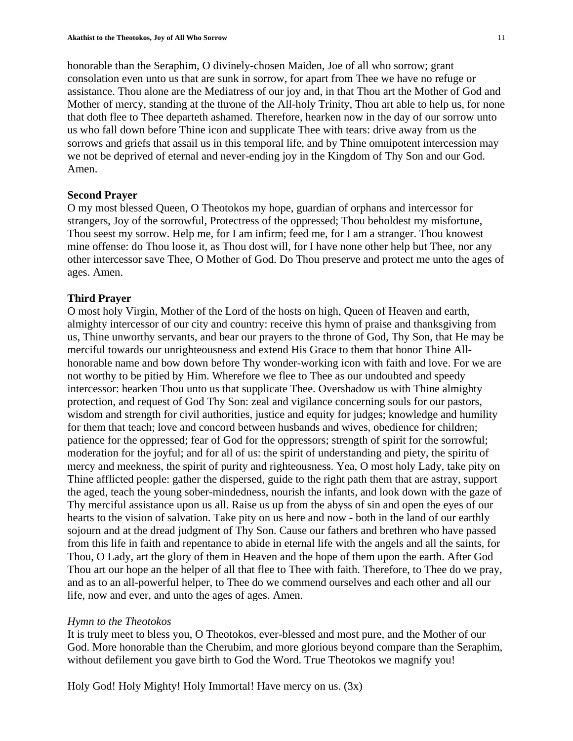honorable than the Seraphim, O divinely-chosen Maiden, Joe of all who sorrow; grant consolation even unto us that are sunk in sorrow, for apart from Thee we have no refuge or assistance. Thou alone are the Mediatress of our joy and, in that Thou art the Mother of God and Mother of mercy, standing at the throne of the All-holy Trinity, Thou art able to help us, for none that doth flee to Thee departeth ashamed. Therefore, hearken now in the day of our sorrow unto us who fall down before Thine icon and supplicate Thee with tears: drive away from us the sorrows and griefs that assail us in this temporal life, and by Thine omnipotent intercession may we not be deprived of eternal and never-ending joy in the Kingdom of Thy Son and our God. Amen.

#### **Second Prayer**

O my most blessed Queen, O Theotokos my hope, guardian of orphans and intercessor for strangers, Joy of the sorrowful, Protectress of the oppressed; Thou beholdest my misfortune, Thou seest my sorrow. Help me, for I am infirm; feed me, for I am a stranger. Thou knowest mine offense: do Thou loose it, as Thou dost will, for I have none other help but Thee, nor any other intercessor save Thee, O Mother of God. Do Thou preserve and protect me unto the ages of ages. Amen.

#### **Third Prayer**

O most holy Virgin, Mother of the Lord of the hosts on high, Queen of Heaven and earth, almighty intercessor of our city and country: receive this hymn of praise and thanksgiving from us, Thine unworthy servants, and bear our prayers to the throne of God, Thy Son, that He may be merciful towards our unrighteousness and extend His Grace to them that honor Thine Allhonorable name and bow down before Thy wonder-working icon with faith and love. For we are not worthy to be pitied by Him. Wherefore we flee to Thee as our undoubted and speedy intercessor: hearken Thou unto us that supplicate Thee. Overshadow us with Thine almighty protection, and request of God Thy Son: zeal and vigilance concerning souls for our pastors, wisdom and strength for civil authorities, justice and equity for judges; knowledge and humility for them that teach; love and concord between husbands and wives, obedience for children; patience for the oppressed; fear of God for the oppressors; strength of spirit for the sorrowful; moderation for the joyful; and for all of us: the spirit of understanding and piety, the spiritu of mercy and meekness, the spirit of purity and righteousness. Yea, O most holy Lady, take pity on Thine afflicted people: gather the dispersed, guide to the right path them that are astray, support the aged, teach the young sober-mindedness, nourish the infants, and look down with the gaze of Thy merciful assistance upon us all. Raise us up from the abyss of sin and open the eyes of our hearts to the vision of salvation. Take pity on us here and now - both in the land of our earthly sojourn and at the dread judgment of Thy Son. Cause our fathers and brethren who have passed from this life in faith and repentance to abide in eternal life with the angels and all the saints, for Thou, O Lady, art the glory of them in Heaven and the hope of them upon the earth. After God Thou art our hope an the helper of all that flee to Thee with faith. Therefore, to Thee do we pray, and as to an all-powerful helper, to Thee do we commend ourselves and each other and all our life, now and ever, and unto the ages of ages. Amen.

#### *Hymn to the Theotokos*

It is truly meet to bless you, O Theotokos, ever-blessed and most pure, and the Mother of our God. More honorable than the Cherubim, and more glorious beyond compare than the Seraphim, without defilement you gave birth to God the Word. True Theotokos we magnify you!

Holy God! Holy Mighty! Holy Immortal! Have mercy on us. (3x)